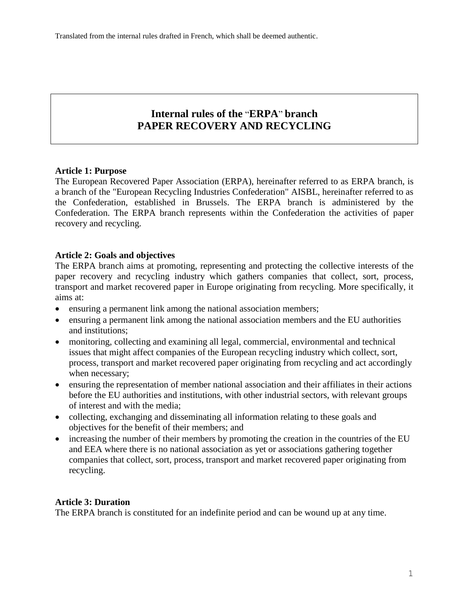# **Internal rules of the** "**ERPA**" **branch PAPER RECOVERY AND RECYCLING**

## **Article 1: Purpose**

The European Recovered Paper Association (ERPA), hereinafter referred to as ERPA branch, is a branch of the "European Recycling Industries Confederation" AISBL, hereinafter referred to as the Confederation, established in Brussels. The ERPA branch is administered by the Confederation. The ERPA branch represents within the Confederation the activities of paper recovery and recycling.

# **Article 2: Goals and objectives**

The ERPA branch aims at promoting, representing and protecting the collective interests of the paper recovery and recycling industry which gathers companies that collect, sort, process, transport and market recovered paper in Europe originating from recycling. More specifically, it aims at:

- ensuring a permanent link among the national association members;
- ensuring a permanent link among the national association members and the EU authorities and institutions;
- monitoring, collecting and examining all legal, commercial, environmental and technical issues that might affect companies of the European recycling industry which collect, sort, process, transport and market recovered paper originating from recycling and act accordingly when necessary;
- ensuring the representation of member national association and their affiliates in their actions before the EU authorities and institutions, with other industrial sectors, with relevant groups of interest and with the media;
- collecting, exchanging and disseminating all information relating to these goals and objectives for the benefit of their members; and
- increasing the number of their members by promoting the creation in the countries of the EU and EEA where there is no national association as yet or associations gathering together companies that collect, sort, process, transport and market recovered paper originating from recycling.

# **Article 3: Duration**

The ERPA branch is constituted for an indefinite period and can be wound up at any time.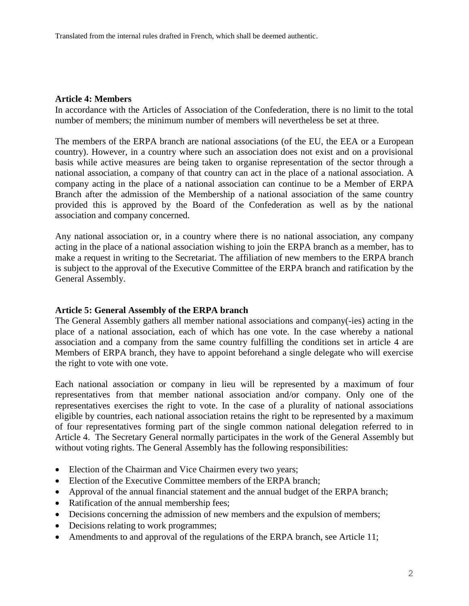#### **Article 4: Members**

In accordance with the Articles of Association of the Confederation, there is no limit to the total number of members; the minimum number of members will nevertheless be set at three.

The members of the ERPA branch are national associations (of the EU, the EEA or a European country). However, in a country where such an association does not exist and on a provisional basis while active measures are being taken to organise representation of the sector through a national association, a company of that country can act in the place of a national association. A company acting in the place of a national association can continue to be a Member of ERPA Branch after the admission of the Membership of a national association of the same country provided this is approved by the Board of the Confederation as well as by the national association and company concerned.

Any national association or, in a country where there is no national association, any company acting in the place of a national association wishing to join the ERPA branch as a member, has to make a request in writing to the Secretariat. The affiliation of new members to the ERPA branch is subject to the approval of the Executive Committee of the ERPA branch and ratification by the General Assembly.

## **Article 5: General Assembly of the ERPA branch**

The General Assembly gathers all member national associations and company(-ies) acting in the place of a national association, each of which has one vote. In the case whereby a national association and a company from the same country fulfilling the conditions set in article 4 are Members of ERPA branch, they have to appoint beforehand a single delegate who will exercise the right to vote with one vote.

Each national association or company in lieu will be represented by a maximum of four representatives from that member national association and/or company. Only one of the representatives exercises the right to vote. In the case of a plurality of national associations eligible by countries, each national association retains the right to be represented by a maximum of four representatives forming part of the single common national delegation referred to in Article 4. The Secretary General normally participates in the work of the General Assembly but without voting rights. The General Assembly has the following responsibilities:

- Election of the Chairman and Vice Chairmen every two years;
- Election of the Executive Committee members of the ERPA branch:
- Approval of the annual financial statement and the annual budget of the ERPA branch;
- Ratification of the annual membership fees;
- Decisions concerning the admission of new members and the expulsion of members;
- Decisions relating to work programmes;
- Amendments to and approval of the regulations of the ERPA branch, see Article 11;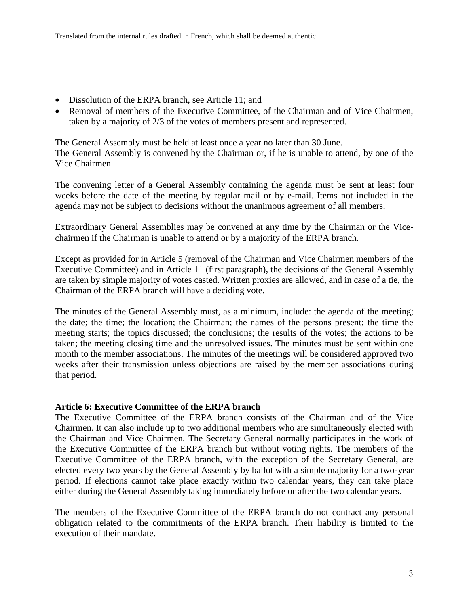- Dissolution of the ERPA branch, see Article 11; and
- Removal of members of the Executive Committee, of the Chairman and of Vice Chairmen, taken by a majority of 2/3 of the votes of members present and represented.

The General Assembly must be held at least once a year no later than 30 June.

The General Assembly is convened by the Chairman or, if he is unable to attend, by one of the Vice Chairmen.

The convening letter of a General Assembly containing the agenda must be sent at least four weeks before the date of the meeting by regular mail or by e-mail. Items not included in the agenda may not be subject to decisions without the unanimous agreement of all members.

Extraordinary General Assemblies may be convened at any time by the Chairman or the Vicechairmen if the Chairman is unable to attend or by a majority of the ERPA branch.

Except as provided for in Article 5 (removal of the Chairman and Vice Chairmen members of the Executive Committee) and in Article 11 (first paragraph), the decisions of the General Assembly are taken by simple majority of votes casted. Written proxies are allowed, and in case of a tie, the Chairman of the ERPA branch will have a deciding vote.

The minutes of the General Assembly must, as a minimum, include: the agenda of the meeting; the date; the time; the location; the Chairman; the names of the persons present; the time the meeting starts; the topics discussed; the conclusions; the results of the votes; the actions to be taken; the meeting closing time and the unresolved issues. The minutes must be sent within one month to the member associations. The minutes of the meetings will be considered approved two weeks after their transmission unless objections are raised by the member associations during that period.

## **Article 6: Executive Committee of the ERPA branch**

The Executive Committee of the ERPA branch consists of the Chairman and of the Vice Chairmen. It can also include up to two additional members who are simultaneously elected with the Chairman and Vice Chairmen. The Secretary General normally participates in the work of the Executive Committee of the ERPA branch but without voting rights. The members of the Executive Committee of the ERPA branch, with the exception of the Secretary General, are elected every two years by the General Assembly by ballot with a simple majority for a two-year period. If elections cannot take place exactly within two calendar years, they can take place either during the General Assembly taking immediately before or after the two calendar years.

The members of the Executive Committee of the ERPA branch do not contract any personal obligation related to the commitments of the ERPA branch. Their liability is limited to the execution of their mandate.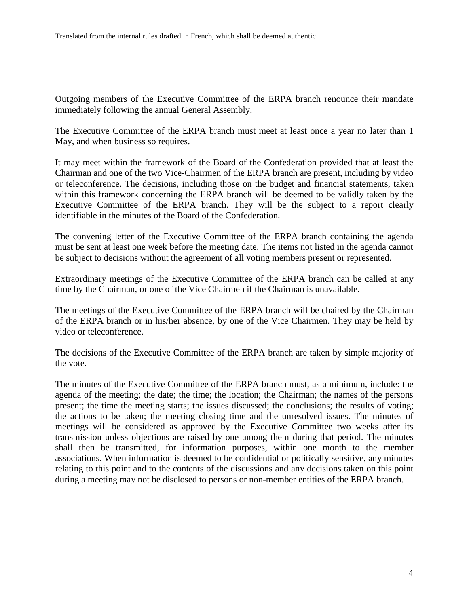Outgoing members of the Executive Committee of the ERPA branch renounce their mandate immediately following the annual General Assembly.

The Executive Committee of the ERPA branch must meet at least once a year no later than 1 May, and when business so requires.

It may meet within the framework of the Board of the Confederation provided that at least the Chairman and one of the two Vice-Chairmen of the ERPA branch are present, including by video or teleconference. The decisions, including those on the budget and financial statements, taken within this framework concerning the ERPA branch will be deemed to be validly taken by the Executive Committee of the ERPA branch. They will be the subject to a report clearly identifiable in the minutes of the Board of the Confederation.

The convening letter of the Executive Committee of the ERPA branch containing the agenda must be sent at least one week before the meeting date. The items not listed in the agenda cannot be subject to decisions without the agreement of all voting members present or represented.

Extraordinary meetings of the Executive Committee of the ERPA branch can be called at any time by the Chairman, or one of the Vice Chairmen if the Chairman is unavailable.

The meetings of the Executive Committee of the ERPA branch will be chaired by the Chairman of the ERPA branch or in his/her absence, by one of the Vice Chairmen. They may be held by video or teleconference.

The decisions of the Executive Committee of the ERPA branch are taken by simple majority of the vote.

The minutes of the Executive Committee of the ERPA branch must, as a minimum, include: the agenda of the meeting; the date; the time; the location; the Chairman; the names of the persons present; the time the meeting starts; the issues discussed; the conclusions; the results of voting; the actions to be taken; the meeting closing time and the unresolved issues. The minutes of meetings will be considered as approved by the Executive Committee two weeks after its transmission unless objections are raised by one among them during that period. The minutes shall then be transmitted, for information purposes, within one month to the member associations. When information is deemed to be confidential or politically sensitive, any minutes relating to this point and to the contents of the discussions and any decisions taken on this point during a meeting may not be disclosed to persons or non-member entities of the ERPA branch.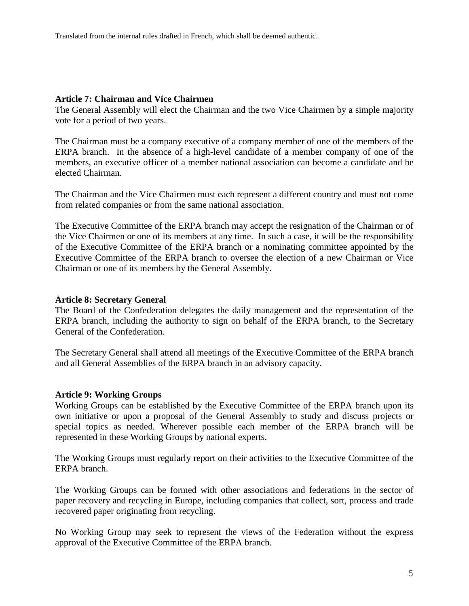#### **Article 7: Chairman and Vice Chairmen**

The General Assembly will elect the Chairman and the two Vice Chairmen by a simple majority vote for a period of two years.

The Chairman must be a company executive of a company member of one of the members of the ERPA branch. In the absence of a high-level candidate of a member company of one of the members, an executive officer of a member national association can become a candidate and be elected Chairman.

The Chairman and the Vice Chairmen must each represent a different country and must not come from related companies or from the same national association.

The Executive Committee of the ERPA branch may accept the resignation of the Chairman or of the Vice Chairmen or one of its members at any time. In such a case, it will be the responsibility of the Executive Committee of the ERPA branch or a nominating committee appointed by the Executive Committee of the ERPA branch to oversee the election of a new Chairman or Vice Chairman or one of its members by the General Assembly.

#### **Article 8: Secretary General**

The Board of the Confederation delegates the daily management and the representation of the ERPA branch, including the authority to sign on behalf of the ERPA branch, to the Secretary General of the Confederation.

The Secretary General shall attend all meetings of the Executive Committee of the ERPA branch and all General Assemblies of the ERPA branch in an advisory capacity.

#### **Article 9: Working Groups**

Working Groups can be established by the Executive Committee of the ERPA branch upon its own initiative or upon a proposal of the General Assembly to study and discuss projects or special topics as needed. Wherever possible each member of the ERPA branch will be represented in these Working Groups by national experts.

The Working Groups must regularly report on their activities to the Executive Committee of the ERPA branch.

The Working Groups can be formed with other associations and federations in the sector of paper recovery and recycling in Europe, including companies that collect, sort, process and trade recovered paper originating from recycling.

No Working Group may seek to represent the views of the Federation without the express approval of the Executive Committee of the ERPA branch.